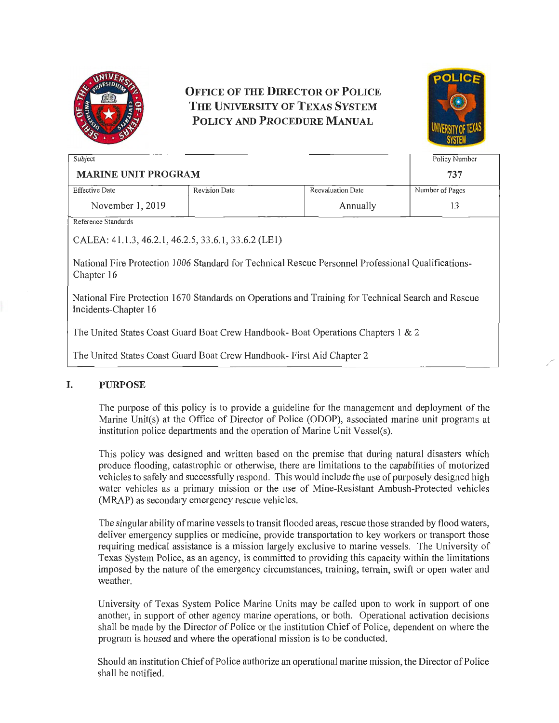

# **OFFICE OF THE DIRECTOR OF POLICE THE UNIVERSITY OF TEXAS SYSTEM POLICY AND PROCEDURE MANUAL**



| Subject                    |                      |                          | Policy Number   |
|----------------------------|----------------------|--------------------------|-----------------|
| <b>MARINE UNIT PROGRAM</b> |                      |                          | 737             |
| <b>Effective Date</b>      | <b>Revision Date</b> | <b>Reevaluation Date</b> | Number of Pages |
| November 1, 2019           |                      | Annually                 |                 |
| Reference Standards        |                      |                          |                 |

CALEA: 41.1.3, 46.2.1, 46.2.5, 33.6.1, 33.6.2 (LEI)

National Fire Protection I 006 Standard for Technical Rescue Personnel Professional Qualifications-Chapter 16

National Fire Protection 1670 Standards on Operations and Training for Technical Search and Rescue Incidents-Chapter 16

The United States Coast Guard Boat Crew Handbook- Boat Operations Chapters 1 & 2

The United States Coast Guard Boat Crew Handbook- First Aid Chapter 2

### **I. PURPOSE**

The purpose of this policy is to provide a guideline for the management and deployment of the Marine Unit(s) at the Office of Director of Police (ODOP), associated marine unit programs at institution police departments and the operation of Marine Unit Vessel(s).

This policy was designed and written based on the premise that during natural disasters which produce flooding, catastrophic or otherwise, there are limitations to the capabilities of motorized vehicles to safely and successfully respond. This would include the use of purposely designed high water vehicles as a primary mission or the use of Mine-Resistant Ambush-Protected vehicles (MRAP) as secondary emergency rescue vehicles.

The singular ability of marine vessels to transit flooded areas, rescue those stranded by flood waters, deliver emergency supplies or medicine, provide transportation to key workers or transport those requiring medical assistance is a mission largely exclusive to marine vessels. The University of Texas System Police, as an agency, is committed to providing this capacity within the limitations imposed by the nature of the emergency circumstances, training, terrain, swift or open water and weather.

University of Texas System Police Marine Units may be called upon to work in support of one another, in support of other agency marine operations, or both. Operational activation decisions shall be made by the Director of Police or the institution Chief of Police, dependent on where the program is housed and where the operational mission is to be conducted.

Should an institution Chief of Police authorize an operational marine mission, the Director of Police shall be notified.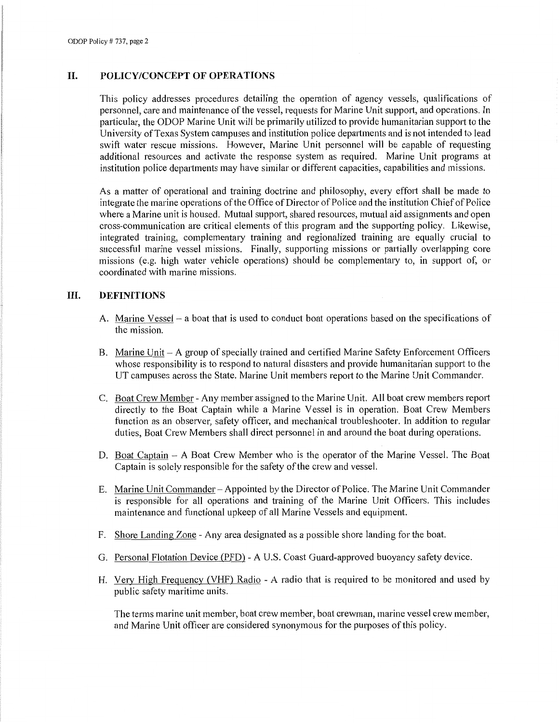#### **II. POLICY/CONCEPT OF OPERATIONS**

This policy addresses procedures detailing the operation of agency vessels, qualifications of personnel, care and maintenance of the vessel, requests for Marine Unit support, and operations. In particular, the ODOP Marine Unit will be primarily utilized to provide humanitarian support to the University of Texas System campuses and institution police depatiments and is not intended to lead swift water rescue missions. However, Marine Unit personnel will be capable of requesting additional resources and activate the response system as required. Marine Unit programs at institution police departments may have similar or different capacities, capabilities and missions.

As a matter of operational and training doctrine and philosophy, every effoti shall be made to integrate the marine operations of the Office of Director of Police and the institution Chief of Police where a Marine unit is housed. Mutual support, shared resources, mutual aid assignments and open cross-communication are critical elements of this program and the suppotting policy. Likewise, integrated training, complementary training and regionalized training are equally crucial to successful marine vessel missions. Finally, supporting missions or partially overlapping core missions (e.g. high water vehicle operations) should be complementary to, in support of, or coordinated with marine missions.

#### **III. DEFINITIONS**

- A. Marine Vessel a boat that is used to conduct boat operations based on the specifications of the mission.
- B. Marine Unit A group of specially trained and certified Marine Safety Enforcement Officers whose responsibility is to respond to natural disasters and provide humanitarian support to the UT campuses across the State. Marine Unit members report to the Marine Unit Commander.
- C. Boat Crew Member Any member assigned to the Marine Unit. All boat crew members repoti directly to the Boat Captain while a Marine Vessel is in operation. Boat Crew Members function as an observer, safety officer, and mechanical troubleshooter. In addition to regular duties, Boat Crew Members shall direct personnel in and around the boat during operations.
- D. Boat Captain A Boat Crew Member who is the operator of the Marine Vessel. The Boat Captain is solely responsible for the safety of the crew and vessel.
- E. Marine Unit Commander- Appointed by the Director of Police. The Marine Unit Commander is responsible for all operations and training of the Marine Unit Officers. This includes maintenance and functional upkeep of all Marine Vessels and equipment.
- F. Shore Landing Zone Any area designated as a possible shore landing for the boat.
- G. Personal Flotation Device (PFD) A U.S. Coast Guard-approved buoyancy safety device.
- H. Very High Frequency (VHF) Radio A radio that is required to be monitored and used by public safety maritime units.

The terms marine unit member, boat crew member, boat crewman, marine vessel crew member, and Marine Unit officer are considered synonymous for the purposes of this policy.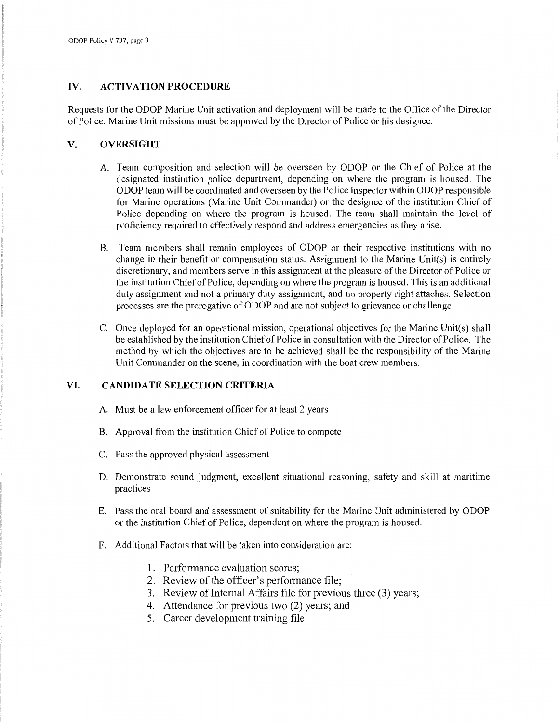### **IV. ACTIVATION PROCEDURE**

Requests for the ODOP Marine Unit activation and deployment will be made to the Office of the Director of Police. Marine Unit missions must be approved by the Director of Police or his designee.

### **V. OVERSIGHT**

- A. Team composition and selection will be overseen by ODOP or the Chief of Police at the designated institution police department, depending on where the program is housed. The ODOP team will be coordinated and overseen by the Police Inspector within ODOP responsible for Marine operations (Marine Unit Commander) or the designee of the institution Chief of Police depending on where the program is housed. The team shall maintain the level of proficiency required to effectively respond and address emergencies as they arise.
- B. Team members shall remain employees of ODOP or their respective institutions with no change in their benefit or compensation status. Assignment to the Marine Unit(s) is entirely discretionary, and members serve in this assignment at the pleasure of the Director of Police or the institution Chief of Police, depending on where the program is housed. This is an additional duty assignment and not a primary duty assignment, and no property right attaches. Selection processes are the prerogative of ODOP and are not subject to grievance or challenge.
- C. Once deployed for an operational mission, operational objectives for the Marine Unit(s) shall be established by the institution Chief of Police in consultation with the Director of Police. The method by which the objectives are to be achieved shall be the responsibility of the Marine Unit Commander on the scene, in coordination with the boat crew members.

#### **VI. CANDIDATE SELECTION CRITERIA**

- A. Must be a law enforcement officer for at least 2 years
- B. Approval from the institution Chief of Police to compete
- C. Pass the approved physical assessment
- D. Demonstrate sound judgment, excellent situational reasoning, safety and skill at maritime practices
- E. Pass the oral board and assessment of suitability for the Marine Unit administered by ODOP or the institution Chief of Police, dependent on where the program is housed.
- F. Additional Factors that will be taken into consideration are:
	- **1.** Performance evaluation scores;
	- 2. Review of the officer's performance file;
	- 3. Review of Internal Affairs file for previous three (3) years;
	- 4. Attendance for previous two (2) years; and
	- 5. Career development training file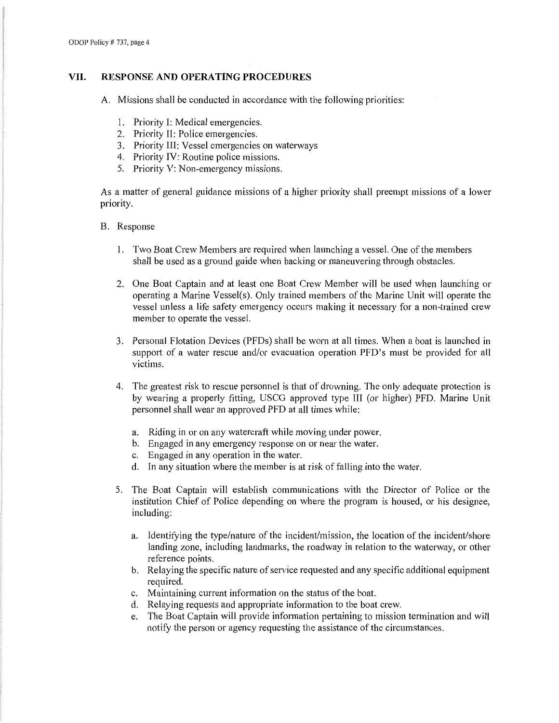### **VII. RESPONSE AND OPERATING PROCEDURES**

- A. Missions shall be conducted in accordance with the following priorities:
	- I. Priority I: Medical emergencies.
	- 2. Priority II: Police emergencies.
	- 3. Priority III: Vessel emergencies on waterways
	- 4. Priority IV: Routine police missions.
	- 5. Priority V: Non-emergency missions.

As a matter of general guidance missions of a higher priority shall preempt missions of a lower priority.

#### B. Response

- I. Two Boat Crew Members are required when launching a vessel. One of the members shall be used as a ground guide when backing or maneuvering through obstacles.
- 2. One Boat Captain and at least one Boat Crew Member will be used when launching or operating a Marine Vessel(s ). Only trained members of the Marine Unit will operate the vessel unless a life safety emergency occurs making it necessary for a non-trained crew member to operate the vessel.
- 3. Personal Flotation Devices (PFDs) shall be worn at all times. When a boat is launched in support of a water rescue and/or evacuation operation PFD's must be provided for all victims.
- 4. The greatest risk to rescue personnel is that of drowning. The only adequate protection is by wearing a properly fitting, USCG approved type III (or higher) PFD. Marine Unit personnel shall wear an approved PFD at all times while:
	- a. Riding in or on any watercraft while moving under power.
	- b. Engaged in any emergency response on or near the water.
	- c. Engaged in any operation in the water.
	- d. In any situation where the member is at risk of falling into the water.
- 5. The Boat Captain will establish communications with the Director of Police or the institution Chief of Police depending on where the program is housed, or his designee, including:
	- a. Identifying the type/nature of the incident/mission, the location of the incident/shore landing zone, including landmarks, the roadway in relation to the waterway, or other reference points.
	- b. Relaying the specific nature of service requested and any specific additional equipment required.
	- c. Maintaining current information on the status of the boat.
	- d. Relaying requests and appropriate information to the boat crew.
	- e. The Boat Captain will provide information pertaining to mission termination and will notify the person or agency requesting the assistance of the circumstances.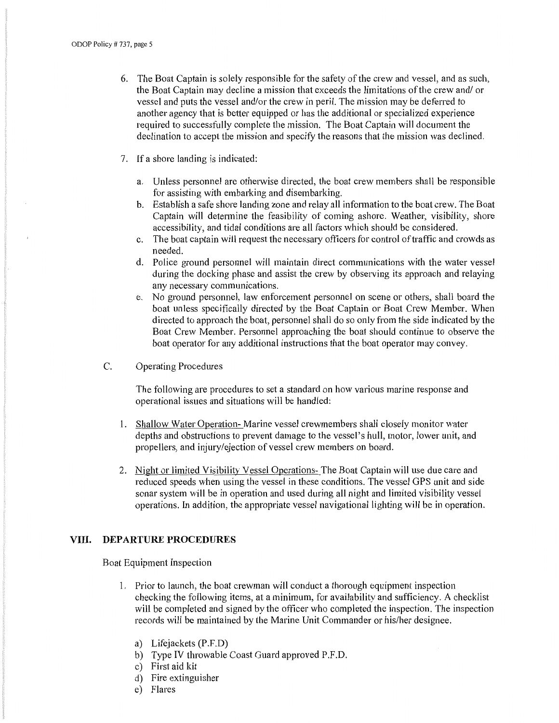- 6. The Boat Captain is solely responsible for the safety of the crew and vessel, and as such, the Boat Captain may decline a mission that exceeds the limitations of the crew and/ or vessel and puts the vessel and/or the crew in peril. The mission may be deferred to another agency that is better equipped or has the additional or specialized experience required to successfully complete the mission. The Boat Captain will document the declination to accept the mission and specify the reasons that the mission was declined.
- 7. If a shore landing is indicated:
	- a. Unless personnel are otherwise directed, the boat crew members shall be responsible for assisting with embarking and disembarking.
	- b. Establish a safe shore landing zone and relay all information to the boat crew. The Boat Captain will determine the feasibility of coming ashore. Weather, visibility, shore accessibility, and tidal conditions are all factors which should be considered.
	- c. The boat captain will request the necessary officers for control of traffic and crowds as needed.
	- d. Police ground personnel will maintain direct communications with the water vessel during the docking phase and assist the crew by observing its approach and relaying any necessary communications.
	- e. No ground personnel, law enforcement personnel on scene or others, shall board the boat unless specifically directed by the Boat Captain or Boat Crew Member. When directed to approach the boat, personnel shall do so only from the side indicated by the Boat Crew Member. Personnel approaching the boat should continue to observe the boat operator for any additional instructions that the boat operator may convey.
- C. Operating Procedures

The following are procedures to set a standard on how various marine response and operational issues and situations will be handled:

- 1. Shallow Water Operation- Marine vessel crewmembers shall closely monitor water depths and obstructions to prevent damage to the vessel's hull, motor, lower unit, and propellers, and injury/ejection of vessel crew members on board.
- 2. Night or limited Visibility Vessel Operations- The Boat Captain will use due care and reduced speeds when using the vessel in these conditions. The vessel GPS unit and side sonar system will be in operation and used during all night and limited visibility vessel operations. In addition, the appropriate vessel navigational lighting will be in operation.

#### **VIII. DEPARTURE PROCEDURES**

Boat Equipment Inspection

- 1. Prior to launch, the boat crewman will conduct a thorough equipment inspection checking the following items, at a minimum, for availability and sufficiency. A checklist will be completed and signed by the officer who completed the inspection. The inspection records will be maintained by the Marine Unit Commander or his/her designee.
	- a) Lifejackets (P.F.D)
	- b) Type IV throwable Coast Guard approved P.F.D.
	- c) First aid kit
	- d) Fire extinguisher
	- e) Flares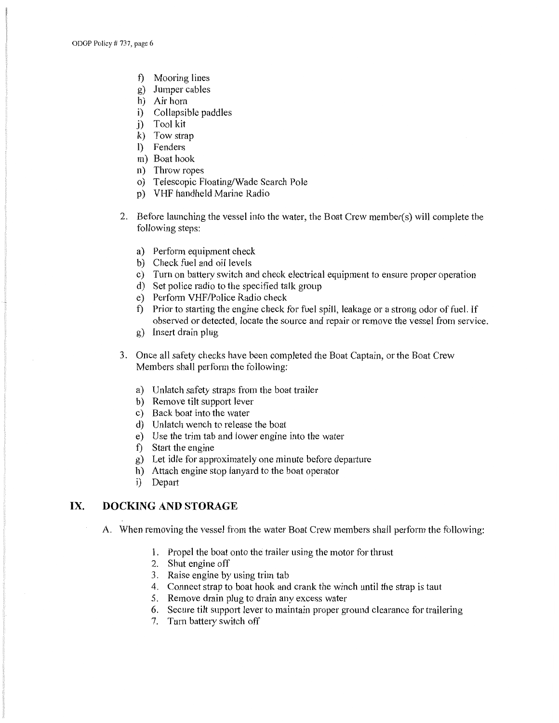- f) Mooring lines
- g) Jumper cables
- h) Air horn
- i) Collapsible paddles
- j) Tool kit
- k) Tow strap
- 1) Fenders
- m) Boat hook
- n) Throw ropes
- o) Telescopic Floating/Wade Search Pole
- p) VHF handheld Marine Radio
- 2. Before launching the vessel into the water, the Boat Crew member(s) will complete the following steps:
	- a) Perform equipment check
	- b) Check fuel and oil levels
	- c) Turn on battery switch and check electrical equipment to ensure proper operation
	- d) Set police radio to the specified talk group
	- e) Perform VHF/Police Radio check
	- f) Prior to starting the engine check for fuel spill, leakage or a strong odor of fuel. If observed or detected, locate the source and repair or remove the vessel from service.
	- g) Insert drain plug
- 3. Once all safety checks have been completed the Boat Captain, or the Boat Crew Members shall perform the following:
	- a) Unlatch safety straps from the boat trailer
	- b) Remove tilt support lever
	- c) Back boat into the water
	- d) Unlatch wench to release the boat
	- e) Use the trim tab and lower engine into the water
	- f) Start the engine
	- g) Let idle for approximately one minute before departure
	- h) Attach engine stop lanyard to the boat operator
	- i) Depart

### **IX. DOCKING AND STORAGE**

A. When removing the vessel from the water Boat Crew members shall perform the following:

- 1. Propel the boat onto the trailer using the motor for thrust
- 2. Shut engine off
- 3. Raise engine by using trim tab
- 4. Connect strap to boat hook and crank the winch until the strap is taut
- 5. Remove drain plug to drain any excess water
- 6. Secure tilt support lever to maintain proper ground clearance for trailering
- 7. Turn battery switch off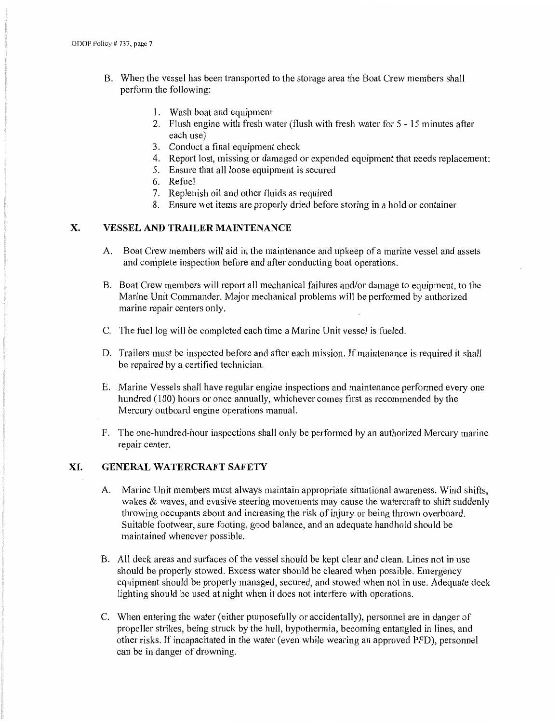- B. When the vessel has been transported to the storage area the Boat Crew members shall perform the following:
	- 1. Wash boat and equipment
	- 2. Flush engine with fresh water (flush with fresh water for 5 15 minutes after each use)
	- 3. Conduct a final equipment check
	- 4. Report lost, missing or damaged or expended equipment that needs replacement:
	- 5. Ensure that all loose equipment is secured
	- 6. Refuel
	- 7. Replenish oil and other fluids as required
	- 8. Ensure wet items are properly dried before storing in a hold or container

### **X. VESSEL AND TRAILER MAINTENANCE**

- A. Boat Crew members will aid in the maintenance and upkeep of a marine vessel and assets and complete inspection before and after conducting boat operations.
- B. Boat Crew members will report all mechanical failures and/or damage to equipment, to the Marine Unit Commander. Major mechanical problems will be performed by authorized marine repair centers only.
- C. The fuel log will be completed each time a Marine Unit vessel is fueled.
- D. Trailers must be inspected before and after each mission. If maintenance is required it shall be repaired by a certified technician.
- E. Marine Vessels shall have regular engine inspections and maintenance performed every one hundred ( 100) hours or once annually, whichever comes first as recommended by the Mercury outboard engine operations manual.
- F. The one-hundred-hour inspections shall only be performed by an authorized Mercury marine repair center.

### **XI. GENERAL WATERCRAFT SAFETY**

- A. Marine Unit members must always maintain appropriate situational awareness. Wind shifts, wakes & waves, and evasive steering movements may cause the watercraft to shift suddenly throwing occupants about and increasing the risk of injury or being thrown overboard. Suitable footwear, sure footing, good balance, and an adequate handhold should be maintained whenever possible.
- B. All deck areas and surfaces of the vessel should be kept clear and clean. Lines not in use should be properly stowed. Excess water should be cleared when possible. Emergency equipment should be properly managed, secured, and stowed when not in use. Adequate deck lighting should be used at night when it does not interfere with operations.
- C. When entering the water (either purposefully or accidentally), personnel are in danger of propeller strikes, being struck by the hull, hypothermia, becoming entangled in lines, and other risks. If incapacitated in the water ( even while wearing an approved PFD), personnel can be in danger of drowning.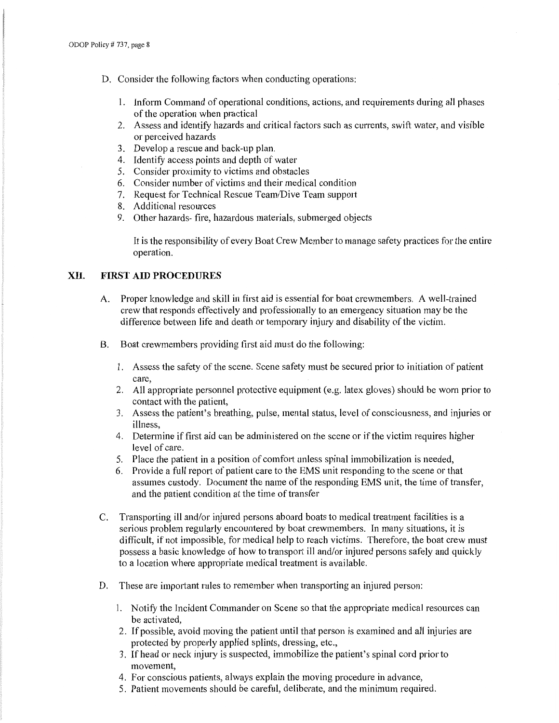- D. Consider the following factors when conducting operations:
	- 1. Inform Command of operational conditions, actions, and requirements during all phases of the operation when practical
	- 2. Assess and identify hazards and critical factors such as currents, swift water, and visible or perceived hazards
	- 3. Develop a rescue and back-up plan.
	- 4. Identify access points and depth of water
	- 5. Consider proximity to victims and obstacles
	- 6. Consider number of victims and their medical condition
	- 7. Request for Technical Rescue Team/Dive Team support
	- 8. Additional resources
	- 9. Other hazards- fire, hazardous materials, submerged objects

It is the responsibility of every Boat Crew Member to manage safety practices for the entire operation.

### **XII. FIRST AID PROCEDURES**

- A. Proper knowledge and skill in first aid is essential for boat crewmembers. A well-trained crew that responds effectively and professionally to an emergency situation may be the difference between life and death or temporary injury and disability of the victim.
- B. Boat crewmembers providing first aid must do the following:
	- 1. Assess the safety of the scene. Scene safety must be secured prior to initiation of patient care,
	- 2. All appropriate personnel protective equipment ( e.g. latex gloves) should be worn prior to contact with the patient,
	- 3. Assess the patient's breathing, pulse, mental status, level of consciousness, and injuries or illness,
	- 4. Determine if first aid can be administered on the scene or if the victim requires higher level of care.
	- 5. Place the patient in a position of comfort unless spinal immobilization is needed,
	- 6. Provide a full report of patient care to the EMS unit responding to the scene or that assumes custody. Document the name of the responding EMS unit, the time of transfer, and the patient condition at the time of transfer
- C. Transporting ill and/or injured persons aboard boats to medical treatment facilities is a serious problem regularly encountered by boat crewmembers. In many situations, it is difficult, if not impossible, for medical help to reach victims. Therefore, the boat crew must possess a basic knowledge of how to transport ill and/or injured persons safely and quickly to a location where appropriate medical treatment is available.
- D. These are important rules to remember when transporting an injured person:
	- 1. Notify the Incident Commander on Scene so that the appropriate medical resources can be activated,
	- 2. If possible, avoid moving the patient until that person is examined and all injuries are protected by properly applied splints, dressing, etc.,
	- 3. If head or neck injury is suspected, immobilize the patient's spinal cord prior to movement,
	- 4. For conscious patients, always explain the moving procedure in advance,
	- 5. Patient movements should be careful, deliberate, and the minimum required.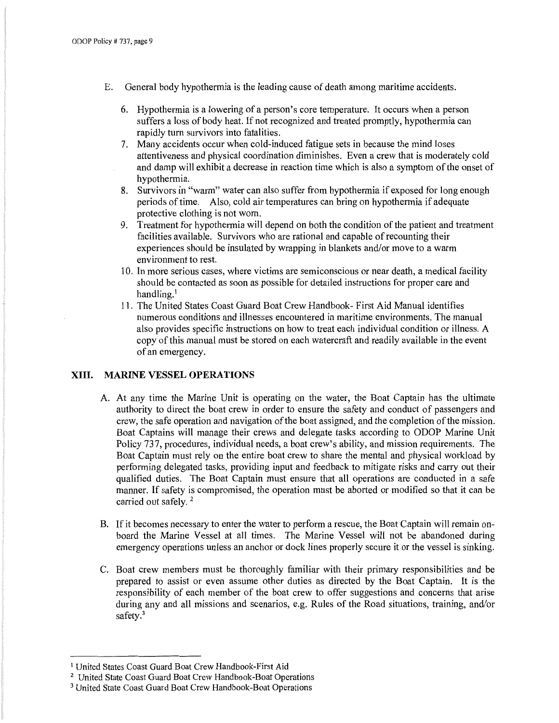- E. General body hypothermia is the leading cause of death among maritime accidents.
	- 6. Hypothermia is a lowering of a person's core temperature. It occurs when a person suffers a loss of body heat. If not recognized and treated promptly, hypothermia can rapidly tum survivors into fatalities.
	- 7. Many accidents occur when cold-induced fatigue sets in because the mind loses attentiveness and physical coordination diminishes. Even a crew that is moderately cold and damp will exhibit a decrease in reaction time which is also a symptom of the onset of hypothermia.
	- 8. Survivors in "warm" water can also suffer from hypothermia if exposed for long enough periods of time. Also, cold air temperatures can bring on hypothermia if adequate protective clothing is not worn.
	- 9. Treatment for hypothermia will depend on both the condition of the patient and treatment facilities available. Survivors who are rational and capable of recounting their experiences should be insulated by wrapping in blankets and/or move to a warm environment to rest.
	- 10. In more serious cases, where victims are semiconscious or near death, a medical facility should be contacted as soon as possible for detailed instructions for proper care and handling. $<sup>1</sup>$ </sup>
	- 11. The United States Coast Guard Boat Crew Handbook- First Aid Manual identifies numerous conditions and illnesses encountered in maritime environments. The manual also provides specific instructions on how to treat each individual condition or illness. A copy of this manual must be stored on each watercraft and readily available in the event of an emergency.

### **XIII. MARINE VESSEL OPERATIONS**

- A. At any time the Marine Unit is operating on the water, the Boat Captain has the ultimate authority to direct the boat crew in order to ensure the safety and conduct of passengers and crew, the safe operation and navigation of the boat assigned, and the completion of the mission. Boat Captains will manage their crews and delegate tasks according to ODOP Marine Unit Policy 737, procedures, individual needs, a boat crew's ability, and mission requirements. The Boat Captain must rely on the entire boat crew to share the mental and physical workload by performing delegated tasks, providing input and feedback to mitigate risks and carry out their qualified duties. The Boat Captain must ensure that all operations are conducted in a safe manner. If safety is compromised, the operation must be aborted or modified so that it can be carried out safely.<sup>2</sup>
- B. If it becomes necessary to enter the water to perform a rescue, the Boat Captain will remain onboard the Marine Vessel at all times. The Marine Vessel will not be abandoned during emergency operations unless an anchor or dock lines properly secure it or the vessel is sinking.
- C. Boat crew members must be thoroughly familiar with their primary responsibilities and be prepared to assist or even assume other duties as directed by the Boat Captain. It is the responsibility of each member of the boat crew to offer suggestions and concerns that arise during any and all missions and scenarios, e.g. Rules of the Road situations, training, and/or safety.<sup>3</sup>

<sup>&</sup>lt;sup>1</sup> United States Coast Guard Boat Crew Handbook-First Aid

<sup>2</sup> United State Coast Guard Boat Crew Handbook-Boat Operations

<sup>3</sup> United State Coast Guard Boat Crew Handbook-Boat Operations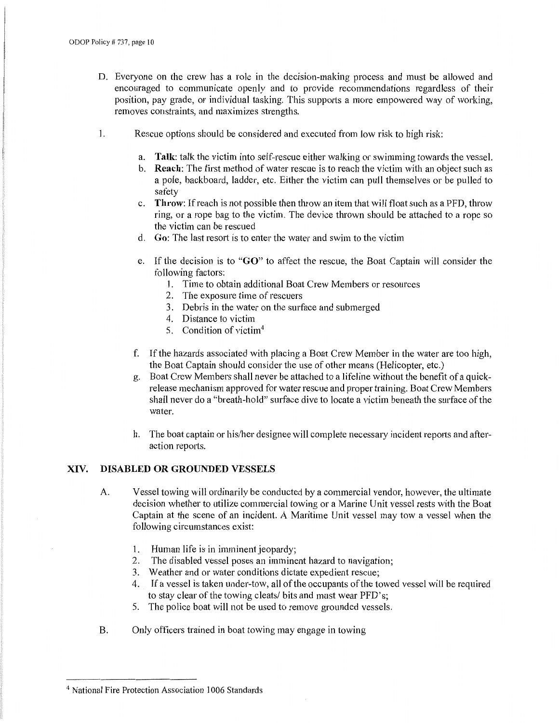- D. Everyone on the crew has a role in the decision-making process and must be allowed and encouraged to communicate openly and to provide recommendations regardless of their position, pay grade, or individual tasking. This supports a more empowered way of working, removes constraints, and maximizes strengths.
- 1. Rescue options should be considered and executed from low risk to high risk:
	- a. **Talk:** talk the victim into self-rescue either walking or swimming towards the vessel.
	- b. **Reach:** The first method of water rescue is to reach the victim with an object such as a pole, backboard, ladder, etc. Either the victim can pull themselves or be pulled to safety
	- c. **Throw:** If reach is not possible then throw an item that will float such as a PFD, throw ring, or a rope bag to the victim. The device thrown should be attached to a rope so the victim can be rescued
	- d. **Go:** The last resort is to enter the water and swim to the victim
	- e. If the decision is to **"GO"** to affect the rescue, the Boat Captain will consider the following factors:
		- 1. Time to obtain additional Boat Crew Members or resources
		- 2. The exposure time of rescuers
		- 3. Debris in the water on the surface and submerged
		- 4. Distance to victim
		- 5. Condition of victim<sup>4</sup>
	- f. If the hazards associated with placing a Boat Crew Member in the water are too high, the Boat Captain should consider the use of other means (Helicopter, etc.)
	- g. Boat Crew Members shall never be attached to a lifeline without the benefit of a quickrelease mechanism approved for water rescue and proper training. Boat Crew Members shall never do a "breath-hold" surface dive to locate a victim beneath the surface of the water.
	- h. The boat captain or his/her designee will complete necessary incident reports and afteraction reports.

#### **XIV. DISABLED OR GROUNDED VESSELS**

- A. Vessel towing will ordinarily be conducted by a commercial vendor, however, the ultimate decision whether to utilize commercial towing or a Marine Unit vessel rests with the Boat Captain at the scene of an incident. A Maritime Unit vessel may tow a vessel when the following circumstances exist:
	- 1. Human life is in imminent jeopardy;
	- 2. The disabled vessel poses an imminent hazard to navigation;
	- 3. Weather and or water conditions dictate expedient rescue;
	- 4. If a vessel is taken under-tow, all of the occupants of the towed vessel will be required to stay clear of the towing cleats/ bits and must wear PFD's;
	- 5. The police boat will not be used to remove grounded vessels.
- B. Only officers trained in boat towing may engage in towing

<sup>&</sup>lt;sup>4</sup> National Fire Protection Association 1006 Standards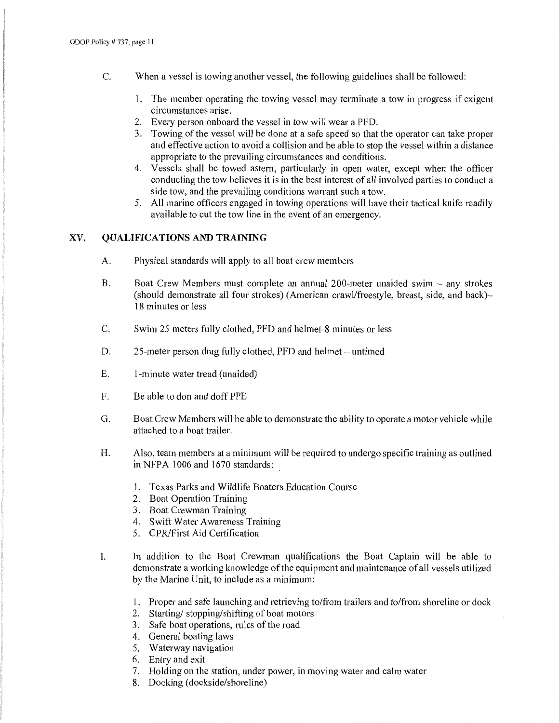- C. When a vessel is towing another vessel, the following guidelines shall be followed:
	- 1. The member operating the towing vessel may terminate a tow in progress if exigent circumstances arise.
	- 2. Every person onboard the vessel in tow will wear a PFD.
	- 3. Towing of the vessel will be done at a safe speed so that the operator can take proper and effective action to avoid a collision and be able to stop the vessel within a distance appropriate to the prevailing circumstances and conditions.
	- 4. Vessels shall be towed astern, particularly in open water, except when the officer conducting the tow believes it is in the best interest of all involved parties to conduct a side tow, and the prevailing conditions warrant such a tow.
	- 5. All marine officers engaged in towing operations will have their tactical knife readily available to cut the tow line in the event of an emergency.

### **XV. QUALIFICATIONS AND TRAINING**

- A. Physical standards will apply to all boat crew members
- B. Boat Crew Members must complete an annual 200-meter unaided swim any strokes (should demonstrate all four strokes) (American crawl/freestyle, breast, side, and back)- 18 minutes or less
- C. Swim 25 meters fully clothed, PFD and helmet-8 minutes or less
- D. 25-meter person drag fully clothed, PFD and helmet untimed
- E. I-minute water tread (unaided)
- F. Be able to don and doff PPE
- G. Boat Crew Members will be able to demonstrate the ability to operate a motor vehicle while attached to a boat trailer.
- H. Also, team members at a minimum will be required to undergo specific training as outlined in NFPA 1006 and 1670 standards:
	- 1. Texas Parks and Wildlife Boaters Education Course
	- 2. Boat Operation Training
	- 3. Boat Crewman Training
	- 4. Swift Water Awareness Training
	- 5. CPR/First Aid Certification
- I. In addition to the Boat Crewman qualifications the Boat Captain will be able to demonstrate a working knowledge of the equipment and maintenance of all vessels utilized by the Marine Unit, to include as a minimum:
	- 1. Proper and safe launching and retrieving to/from trailers and to/from shoreline or dock
	- 2. Starting/ stopping/shifting of boat motors
	- 3. Safe boat operations, rules of the road
	- 4. General boating laws
	- 5. Waterway navigation
	- 6. Entry and exit
	- 7. Holding on the station, under power, in moving water and calm water
	- 8. Docking (dockside/shoreline)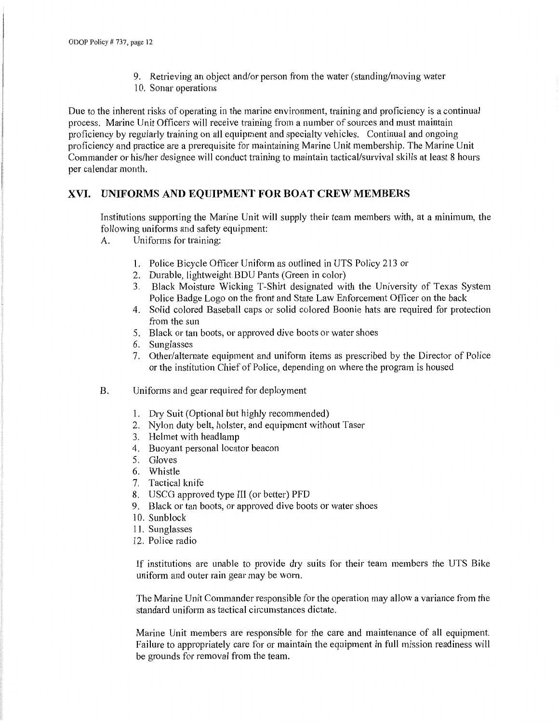- 9. Retrieving an object and/or person from the water (standing/moving water
- 10. Sonar operations

Due to the inherent risks of operating in the marine environment, training and proficiency is a continual process. Marine Unit Officers will receive training from a number of sources and must maintain proficiency by regularly training on all equipment and specialty vehicles. Continual and ongoing proficiency and practice are a prerequisite for maintaining Marine Unit membership. The Marine Unit Commander or his/her designee will conduct training to maintain tactical/survival skills at least 8 hours per calendar month.

# **XVI. UNIFORMS AND EQUIPMENT FOR BOAT CREW MEMBERS**

Institutions supporting the Marine Unit will supply their team members with, at a minimum, the following uniforms and safety equipment:

- A. Uniforms for training:
	- 1. Police Bicycle Officer Uniform as outlined in UTS Policy 213 or
	- 2. Durable, lightweight.BOU Pants (Green in color)
	- 3. Black Moisture Wicking T-Shitt designated with the University of Texas System Police Badge Logo on the front and State Law Enforcement Officer on the back
	- 4. Solid colored Baseball caps or solid colored Boonie hats are required for protection from the sun
	- 5. Black or tan boots, or approved dive boots or water shoes
	- 6. Sunglasses
	- 7. Other/alternate equipment and uniform items as prescribed by the Director of Police or the institution Chief of Police, depending on where the program is housed
- B. Uniforms and gear required for deployment
	- 1. Dry Suit (Optional but highly recommended)
	- 2. Nylon duty belt, holster, and equipment without Taser
	- 3. Helmet with headlamp
	- 4. Buoyant personal locator beacon
	- 5. Gloves
	- 6. Whistle
	- 7. Tactical knife
	- 8. USCG approved type III (or better) PFD
	- 9. Black or tan boots, or approved dive boots or water shoes
	- 10. Sunblock
	- 11. Sunglasses
	- 12. Police radio

If institutions are unable to provide dry suits for their team members the UTS Bike uniform and outer rain gear may be worn.

The Marine Unit Commander responsible for the operation may allow a variance from the standard uniform as tactical circumstances dictate.

Marine Unit members are responsible for the care and maintenance of all equipment. Failure to appropriately care for or maintain the equipment in full mission readiness will be grounds for removal from the team.